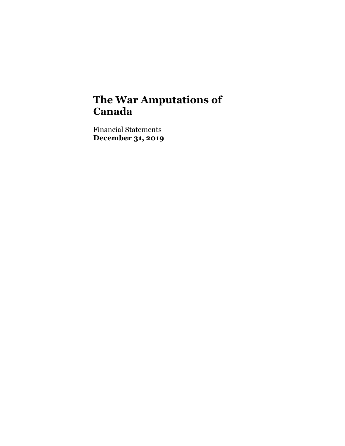Financial Statements **December 31, 2019**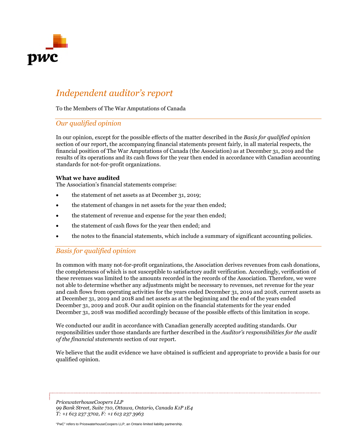

# *Independent auditor's report*

To the Members of The War Amputations of Canada

### *Our qualified opinion*

In our opinion, except for the possible effects of the matter described in the *Basis for qualified opinion* section of our report, the accompanying financial statements present fairly, in all material respects, the financial position of The War Amputations of Canada (the Association) as at December 31, 2019 and the results of its operations and its cash flows for the year then ended in accordance with Canadian accounting standards for not-for-profit organizations.

### **What we have audited**

The Association's financial statements comprise:

- the statement of net assets as at December 31, 2019;
- the statement of changes in net assets for the year then ended;
- the statement of revenue and expense for the year then ended;
- the statement of cash flows for the year then ended; and
- the notes to the financial statements, which include a summary of significant accounting policies.

## *Basis for qualified opinion*

In common with many not-for-profit organizations, the Association derives revenues from cash donations, the completeness of which is not susceptible to satisfactory audit verification. Accordingly, verification of these revenues was limited to the amounts recorded in the records of the Association. Therefore, we were not able to determine whether any adjustments might be necessary to revenues, net revenue for the year and cash flows from operating activities for the years ended December 31, 2019 and 2018, current assets as at December 31, 2019 and 2018 and net assets as at the beginning and the end of the years ended December 31, 2019 and 2018. Our audit opinion on the financial statements for the year ended December 31, 2018 was modified accordingly because of the possible effects of this limitation in scope.

We conducted our audit in accordance with Canadian generally accepted auditing standards. Our responsibilities under those standards are further described in the *Auditor's responsibilities for the audit of the financial statements* section of our report.

We believe that the audit evidence we have obtained is sufficient and appropriate to provide a basis for our qualified opinion.

*PricewaterhouseCoopers LLP 99 Bank Street, Suite 710, Ottawa, Ontario, Canada K1P 1E4 T: +1 613 237 3702, F: +1 613 237 3963*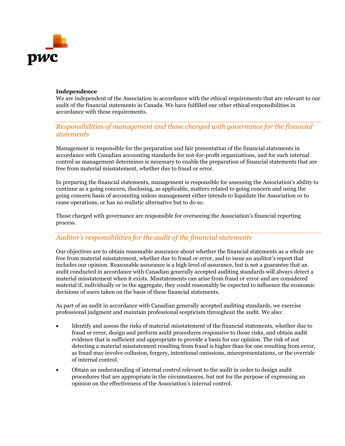

### **Independence**

We are independent of the Association in accordance with the ethical requirements that are relevant to our audit of the financial statements in Canada. We have fulfilled our other ethical responsibilities in accordance with these requirements.

## *Responsibilities of management and those charged with governance for the financial statements*

Management is responsible for the preparation and fair presentation of the financial statements in accordance with Canadian accounting standards for not-for-profit organizations, and for such internal control as management determines is necessary to enable the preparation of financial statements that are free from material misstatement, whether due to fraud or error.

In preparing the financial statements, management is responsible for assessing the Association's ability to continue as a going concern, disclosing, as applicable, matters related to going concern and using the going concern basis of accounting unless management either intends to liquidate the Association or to cease operations, or has no realistic alternative but to do so.

Those charged with governance are responsible for overseeing the Association's financial reporting process.

## *Auditor's responsibilities for the audit of the financial statements*

Our objectives are to obtain reasonable assurance about whether the financial statements as a whole are free from material misstatement, whether due to fraud or error, and to issue an auditor's report that includes our opinion. Reasonable assurance is a high level of assurance, but is not a guarantee that an audit conducted in accordance with Canadian generally accepted auditing standards will always detect a material misstatement when it exists. Misstatements can arise from fraud or error and are considered material if, individually or in the aggregate, they could reasonably be expected to influence the economic decisions of users taken on the basis of these financial statements.

As part of an audit in accordance with Canadian generally accepted auditing standards, we exercise professional judgment and maintain professional scepticism throughout the audit. We also:

- Identify and assess the risks of material misstatement of the financial statements, whether due to fraud or error, design and perform audit procedures responsive to those risks, and obtain audit evidence that is sufficient and appropriate to provide a basis for our opinion. The risk of not detecting a material misstatement resulting from fraud is higher than for one resulting from error, as fraud may involve collusion, forgery, intentional omissions, misrepresentations, or the override of internal control.
- Obtain an understanding of internal control relevant to the audit in order to design audit procedures that are appropriate in the circumstances, but not for the purpose of expressing an opinion on the effectiveness of the Association's internal control.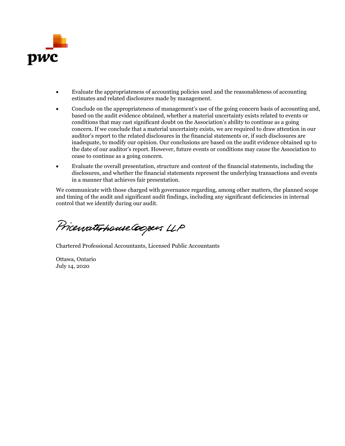

- Evaluate the appropriateness of accounting policies used and the reasonableness of accounting estimates and related disclosures made by management.
- Conclude on the appropriateness of management's use of the going concern basis of accounting and, based on the audit evidence obtained, whether a material uncertainty exists related to events or conditions that may cast significant doubt on the Association's ability to continue as a going concern. If we conclude that a material uncertainty exists, we are required to draw attention in our auditor's report to the related disclosures in the financial statements or, if such disclosures are inadequate, to modify our opinion. Our conclusions are based on the audit evidence obtained up to the date of our auditor's report. However, future events or conditions may cause the Association to cease to continue as a going concern.
- Evaluate the overall presentation, structure and content of the financial statements, including the disclosures, and whether the financial statements represent the underlying transactions and events in a manner that achieves fair presentation.

We communicate with those charged with governance regarding, among other matters, the planned scope and timing of the audit and significant audit findings, including any significant deficiencies in internal control that we identify during our audit.

Pricewaterhouse Coopers LLP

Chartered Professional Accountants, Licensed Public Accountants

Ottawa, Ontario July 14, 2020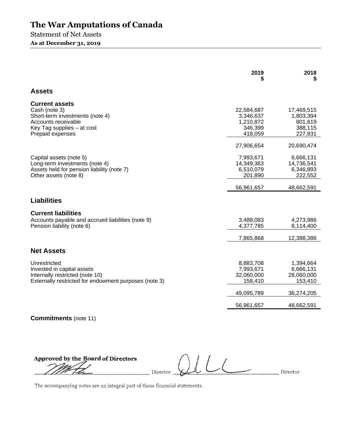Statement of Net Assets **As at December 31, 2019**

|                                                                                                                                                    | 2019                                                       | 2018                                                     |
|----------------------------------------------------------------------------------------------------------------------------------------------------|------------------------------------------------------------|----------------------------------------------------------|
| <b>Assets</b>                                                                                                                                      |                                                            |                                                          |
| <b>Current assets</b><br>Cash (note 3)<br>Short-term investments (note 4)<br>Accounts receivable<br>Key Tag supplies - at cost<br>Prepaid expenses | 22,584,687<br>3,346,637<br>1,210,872<br>346,399<br>418,059 | 17,469,515<br>1,803,394<br>801,619<br>388,115<br>227,831 |
|                                                                                                                                                    | 27,906,654                                                 | 20,690,474                                               |
| Capital assets (note 5)<br>Long-term investments (note 4)<br>Assets held for pension liability (note 7)<br>Other assets (note 8)                   | 7,993,671<br>14,349,363<br>6,510,079<br>201,890            | 6,666,131<br>14,736,541<br>6,346,893<br>222,552          |
|                                                                                                                                                    | 56,961,657                                                 | 48,662,591                                               |
| <b>Liabilities</b>                                                                                                                                 |                                                            |                                                          |
| <b>Current liabilities</b><br>Accounts payable and accrued liabilities (note 9)<br>Pension liability (note 6)                                      | 3,488,083<br>4,377,785                                     | 4,273,986<br>8,114,400                                   |
|                                                                                                                                                    | 7,865,868                                                  | 12,388,386                                               |
| <b>Net Assets</b>                                                                                                                                  |                                                            |                                                          |
| Unrestricted<br>Invested in capital assets<br>Internally restricted (note 10)<br>Externally restricted for endowment purposes (note 3)             | 8,883,708<br>7,993,671<br>32,060,000<br>158,410            | 1,394,664<br>6,666,131<br>28,060,000<br>153,410          |
|                                                                                                                                                    | 49,095,789                                                 | 36,274,205                                               |
|                                                                                                                                                    | 56,961,657                                                 | 48,662,591                                               |

**Commitments** (note 11)

 $1122$ Approved by the Board of Directors Director Director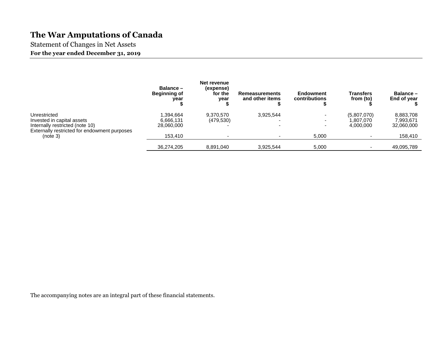Statement of Changes in Net Assets **For the year ended December 31, 2019** 

|                                                                                 | Balance-<br>Beginning of<br>year | Net revenue<br>(expense)<br>for the<br>vear | <b>Remeasurements</b><br>and other items | <b>Endowment</b><br>contributions | <b>Transfers</b><br>from (to) | Balance -<br>End of year |
|---------------------------------------------------------------------------------|----------------------------------|---------------------------------------------|------------------------------------------|-----------------------------------|-------------------------------|--------------------------|
| Unrestricted                                                                    | 1,394,664                        | 9,370,570                                   | 3,925,544                                | $\overline{\phantom{0}}$          | (5,807,070)                   | 8,883,708                |
| Invested in capital assets                                                      | 6,666,131                        | (479,530)                                   |                                          | $\overline{\phantom{0}}$          | 1,807,070                     | 7,993,671                |
| Internally restricted (note 10)<br>Externally restricted for endowment purposes | 28,060,000                       |                                             |                                          | $\overline{\phantom{0}}$          | 4.000.000                     | 32,060,000               |
| (note 3)                                                                        | 153,410                          |                                             |                                          | 5,000                             |                               | 158,410                  |
|                                                                                 | 36,274,205                       | 8,891,040                                   | 3,925,544                                | 5,000                             |                               | 49,095,789               |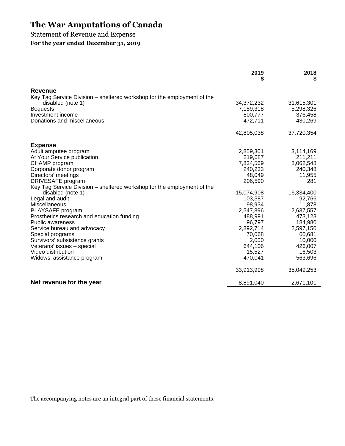# Statement of Revenue and Expense

**For the year ended December 31, 2019** 

|                                                                         | 2019<br>\$          | 2018<br>S           |
|-------------------------------------------------------------------------|---------------------|---------------------|
| <b>Revenue</b>                                                          |                     |                     |
| Key Tag Service Division – sheltered workshop for the employment of the |                     |                     |
| disabled (note 1)                                                       | 34,372,232          | 31,615,301          |
| <b>Bequests</b>                                                         | 7,159,318           | 5,298,326           |
| Investment income                                                       | 800,777             | 376,458             |
| Donations and miscellaneous                                             | 472,711             | 430,269             |
|                                                                         | 42,805,038          | 37,720,354          |
| <b>Expense</b>                                                          |                     |                     |
| Adult amputee program                                                   | 2,859,301           | 3,114,169           |
| At Your Service publication                                             | 219,687             | 211,211             |
| CHAMP program                                                           | 7,834,569           | 8,062,548           |
| Corporate donor program                                                 | 240,233             | 240,348             |
| Directors' meetings                                                     | 48,049              | 11,955              |
| DRIVESAFE program                                                       | 206,590             | 281                 |
| Key Tag Service Division – sheltered workshop for the employment of the |                     |                     |
| disabled (note 1)                                                       | 15,074,908          | 16,334,400          |
| Legal and audit                                                         | 103,587             | 92,766              |
| Miscellaneous                                                           | 98,934              | 11,878              |
| PLAYSAFE program                                                        | 2,547,896           | 2,637,557           |
| Prosthetics research and education funding                              | 488,991             | 473,123             |
| <b>Public awareness</b>                                                 | 96,797              | 184,980             |
| Service bureau and advocacy<br>Special programs                         | 2,892,714<br>70,068 | 2,597,150<br>60,681 |
| Survivors' subsistence grants                                           | 2,000               | 10,000              |
| Veterans' issues - special                                              | 644,106             | 426,007             |
| Video distribution                                                      | 15,527              | 16,503              |
| Widows' assistance program                                              | 470,041             | 563,696             |
|                                                                         | 33,913,998          | 35,049,253          |
| Net revenue for the year                                                | 8,891,040           | 2,671,101           |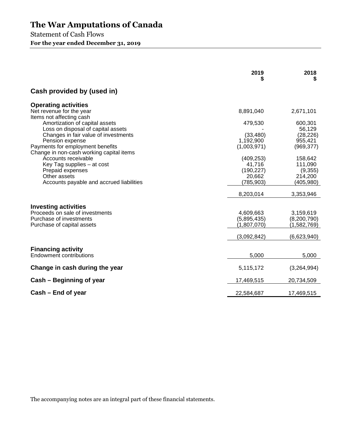Statement of Cash Flows **For the year ended December 31, 2019** 

|                                                                                                                                                                                                                 | 2019                                                       | 2018                                                    |
|-----------------------------------------------------------------------------------------------------------------------------------------------------------------------------------------------------------------|------------------------------------------------------------|---------------------------------------------------------|
| Cash provided by (used in)                                                                                                                                                                                      |                                                            |                                                         |
| <b>Operating activities</b><br>Net revenue for the year<br>Items not affecting cash                                                                                                                             | 8,891,040                                                  | 2,671,101                                               |
| Amortization of capital assets<br>Loss on disposal of capital assets<br>Changes in fair value of investments<br>Pension expense<br>Payments for employment benefits<br>Change in non-cash working capital items | 479,530<br>(33, 480)<br>1,192,900<br>(1,003,971)           | 600,301<br>56,129<br>(28, 226)<br>955,421<br>(969, 377) |
| Accounts receivable<br>Key Tag supplies – at cost<br>Prepaid expenses<br>Other assets<br>Accounts payable and accrued liabilities                                                                               | (409, 253)<br>41,716<br>(190, 227)<br>20,662<br>(785, 903) | 158,642<br>111,090<br>(9,355)<br>214,200<br>(405,980)   |
|                                                                                                                                                                                                                 | 8,203,014                                                  | 3,353,946                                               |
| <b>Investing activities</b><br>Proceeds on sale of investments<br>Purchase of investments<br>Purchase of capital assets                                                                                         | 4,609,663<br>(5,895,435)<br>(1,807,070)                    | 3,159,619<br>(8,200,790)<br>(1,582,769)                 |
|                                                                                                                                                                                                                 | (3,092,842)                                                | (6,623,940)                                             |
| <b>Financing activity</b><br>Endowment contributions                                                                                                                                                            | 5,000                                                      | 5,000                                                   |
| Change in cash during the year                                                                                                                                                                                  | 5,115,172                                                  | (3,264,994)                                             |
| Cash - Beginning of year                                                                                                                                                                                        | 17,469,515                                                 | 20,734,509                                              |
| Cash – End of year                                                                                                                                                                                              | 22,584,687                                                 | 17,469,515                                              |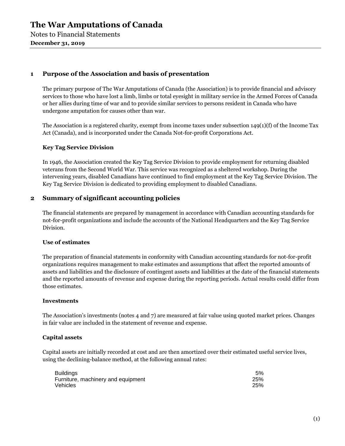### **1 Purpose of the Association and basis of presentation**

The primary purpose of The War Amputations of Canada (the Association) is to provide financial and advisory services to those who have lost a limb, limbs or total eyesight in military service in the Armed Forces of Canada or her allies during time of war and to provide similar services to persons resident in Canada who have undergone amputation for causes other than war.

The Association is a registered charity, exempt from income taxes under subsection 149(1)(f) of the Income Tax Act (Canada), and is incorporated under the Canada Not-for-profit Corporations Act.

### **Key Tag Service Division**

In 1946, the Association created the Key Tag Service Division to provide employment for returning disabled veterans from the Second World War. This service was recognized as a sheltered workshop. During the intervening years, disabled Canadians have continued to find employment at the Key Tag Service Division. The Key Tag Service Division is dedicated to providing employment to disabled Canadians.

### **2 Summary of significant accounting policies**

The financial statements are prepared by management in accordance with Canadian accounting standards for not-for-profit organizations and include the accounts of the National Headquarters and the Key Tag Service Division.

### **Use of estimates**

The preparation of financial statements in conformity with Canadian accounting standards for not-for-profit organizations requires management to make estimates and assumptions that affect the reported amounts of assets and liabilities and the disclosure of contingent assets and liabilities at the date of the financial statements and the reported amounts of revenue and expense during the reporting periods. Actual results could differ from those estimates.

### **Investments**

The Association's investments (notes 4 and 7) are measured at fair value using quoted market prices. Changes in fair value are included in the statement of revenue and expense.

### **Capital assets**

Capital assets are initially recorded at cost and are then amortized over their estimated useful service lives, using the declining-balance method, at the following annual rates:

| <b>Buildings</b>                   | 5%         |
|------------------------------------|------------|
| Furniture, machinery and equipment | <b>25%</b> |
| Vehicles                           | 25%        |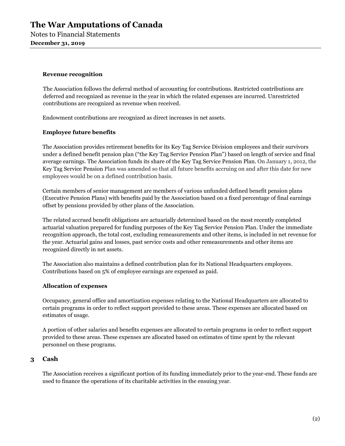Notes to Financial Statements **December 31, 2019** 

### **Revenue recognition**

The Association follows the deferral method of accounting for contributions. Restricted contributions are deferred and recognized as revenue in the year in which the related expenses are incurred. Unrestricted contributions are recognized as revenue when received.

Endowment contributions are recognized as direct increases in net assets.

### **Employee future benefits**

The Association provides retirement benefits for its Key Tag Service Division employees and their survivors under a defined benefit pension plan ("the Key Tag Service Pension Plan") based on length of service and final average earnings. The Association funds its share of the Key Tag Service Pension Plan. On January 1, 2012, the Key Tag Service Pension Plan was amended so that all future benefits accruing on and after this date for new employees would be on a defined contribution basis.

Certain members of senior management are members of various unfunded defined benefit pension plans (Executive Pension Plans) with benefits paid by the Association based on a fixed percentage of final earnings offset by pensions provided by other plans of the Association.

The related accrued benefit obligations are actuarially determined based on the most recently completed actuarial valuation prepared for funding purposes of the Key Tag Service Pension Plan. Under the immediate recognition approach, the total cost, excluding remeasurements and other items, is included in net revenue for the year. Actuarial gains and losses, past service costs and other remeasurements and other items are recognized directly in net assets.

The Association also maintains a defined contribution plan for its National Headquarters employees. Contributions based on 5% of employee earnings are expensed as paid.

### **Allocation of expenses**

Occupancy, general office and amortization expenses relating to the National Headquarters are allocated to certain programs in order to reflect support provided to these areas. These expenses are allocated based on estimates of usage.

A portion of other salaries and benefits expenses are allocated to certain programs in order to reflect support provided to these areas. These expenses are allocated based on estimates of time spent by the relevant personnel on these programs.

### **3 Cash**

The Association receives a significant portion of its funding immediately prior to the year-end. These funds are used to finance the operations of its charitable activities in the ensuing year.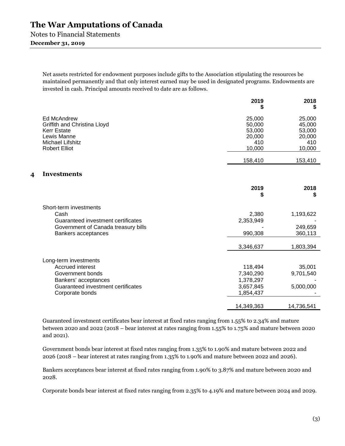Notes to Financial Statements

## **December 31, 2019**

Net assets restricted for endowment purposes include gifts to the Association stipulating the resources be maintained permanently and that only interest earned may be used in designated programs. Endowments are invested in cash. Principal amounts received to date are as follows.

|   |                                                  | 2019          | 2018<br>S     |
|---|--------------------------------------------------|---------------|---------------|
|   | <b>Ed McAndrew</b>                               | 25,000        | 25,000        |
|   | Griffith and Christina Lloyd                     | 50,000        | 45,000        |
|   | <b>Kerr Estate</b><br>Lewis Manne                | 53,000        | 53,000        |
|   | <b>Michael Lifshitz</b>                          | 20,000<br>410 | 20,000<br>410 |
|   | <b>Robert Elliot</b>                             | 10,000        | 10,000        |
|   |                                                  | 158,410       | 153,410       |
| 4 | <b>Investments</b>                               |               |               |
|   |                                                  |               |               |
|   |                                                  | 2019          | 2018          |
|   |                                                  | S             | \$            |
|   | Short-term investments                           |               |               |
|   | Cash                                             | 2,380         | 1,193,622     |
|   | Guaranteed investment certificates               | 2,353,949     |               |
|   | Government of Canada treasury bills              |               | 249,659       |
|   | Bankers acceptances                              | 990,308       | 360,113       |
|   |                                                  | 3,346,637     | 1,803,394     |
|   |                                                  |               |               |
|   | Long-term investments<br><b>Accrued interest</b> | 118,494       | 35,001        |
|   | Government bonds                                 | 7,340,290     | 9,701,540     |
|   | Bankers' acceptances                             | 1,378,297     |               |
|   | Guaranteed investment certificates               | 3,657,845     | 5,000,000     |
|   | Corporate bonds                                  | 1,854,437     |               |
|   |                                                  | 14,349,363    | 14,736,541    |
|   |                                                  |               |               |

Guaranteed investment certificates bear interest at fixed rates ranging from 1.55% to 2.34% and mature between 2020 and 2022 (2018 – bear interest at rates ranging from 1.55% to 1.75% and mature between 2020 and 2021).

Government bonds bear interest at fixed rates ranging from 1.35% to 1.90% and mature between 2022 and 2026 (2018 – bear interest at rates ranging from 1.35% to 1.90% and mature between 2022 and 2026).

Bankers acceptances bear interest at fixed rates ranging from 1.90% to 3.87% and mature between 2020 and 2028.

Corporate bonds bear interest at fixed rates ranging from 2.35% to 4.19% and mature between 2024 and 2029.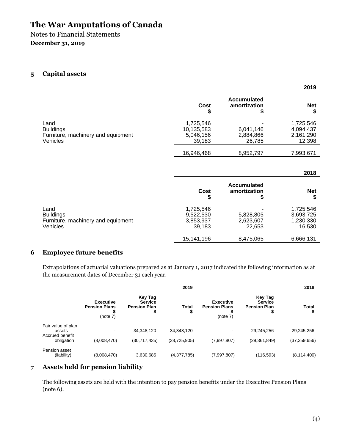Notes to Financial Statements **December 31, 2019** 

## **5 Capital assets**

|                                                |                                          | 2019                                          |
|------------------------------------------------|------------------------------------------|-----------------------------------------------|
| Cost<br>\$                                     | <b>Accumulated</b><br>amortization<br>\$ | <b>Net</b><br>\$                              |
| 1,725,546<br>10,135,583<br>5,046,156<br>39,183 | 6,041,146<br>2,884,866<br>26,785         | 1,725,546<br>4,094,437<br>2,161,290<br>12,398 |
| 16,946,468                                     | 8,952,797                                | 7,993,671                                     |
|                                                |                                          |                                               |

|                                    | Cost       | <b>Accumulated</b><br>amortization | <b>Net</b> |
|------------------------------------|------------|------------------------------------|------------|
| Land                               | 1,725,546  |                                    | 1,725,546  |
| <b>Buildings</b>                   | 9.522.530  | 5,828,805                          | 3,693,725  |
| Furniture, machinery and equipment | 3,853,937  | 2,623,607                          | 1,230,330  |
| Vehicles                           | 39.183     | 22.653                             | 16,530     |
|                                    | 15,141,196 | 8,475,065                          | 6,666,131  |

## **6 Employee future benefits**

Extrapolations of actuarial valuations prepared as at January 1, 2017 indicated the following information as at the measurement dates of December 31 each year.

|                              |                                                      |                                                              | 2019              |                                                      |                                                       | 2018           |
|------------------------------|------------------------------------------------------|--------------------------------------------------------------|-------------------|------------------------------------------------------|-------------------------------------------------------|----------------|
|                              | <b>Executive</b><br><b>Pension Plans</b><br>(note 7) | <b>Key Tag</b><br><b>Service</b><br><b>Pension Plan</b><br>Ф | <b>Total</b><br>Φ | <b>Executive</b><br><b>Pension Plans</b><br>(note 7) | Key Tag<br><b>Service</b><br><b>Pension Plan</b><br>Ф | <b>Total</b>   |
| Fair value of plan           |                                                      |                                                              |                   |                                                      |                                                       |                |
| assets<br>Accrued benefit    |                                                      | 34,348,120                                                   | 34,348,120        |                                                      | 29,245,256                                            | 29,245,256     |
| obligation                   | (8,008,470)                                          | (30,717,435)                                                 | (38, 725, 905)    | (7,997,807)                                          | (29, 361, 849)                                        | (37, 359, 656) |
| Pension asset<br>(liability) | (8,008,470)                                          | 3,630,685                                                    | (4,377,785)       | (7,997,807)                                          | (116, 593)                                            | (8, 114, 400)  |

## **7 Assets held for pension liability**

The following assets are held with the intention to pay pension benefits under the Executive Pension Plans (note 6).

**2018**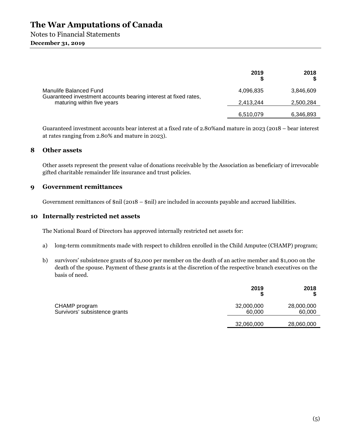## Notes to Financial Statements

## **December 31, 2019**

|                                                                                               | 2019      | 2018      |
|-----------------------------------------------------------------------------------------------|-----------|-----------|
| Manulife Balanced Fund                                                                        | 4,096,835 | 3,846,609 |
| Guaranteed investment accounts bearing interest at fixed rates,<br>maturing within five years | 2.413.244 | 2,500,284 |
|                                                                                               | 6,510,079 | 6,346,893 |

Guaranteed investment accounts bear interest at a fixed rate of 2.80%and mature in 2023 (2018 – bear interest at rates ranging from 2.80% and mature in 2023).

### **8 Other assets**

Other assets represent the present value of donations receivable by the Association as beneficiary of irrevocable gifted charitable remainder life insurance and trust policies.

### **9 Government remittances**

Government remittances of \$nil (2018 – \$nil) are included in accounts payable and accrued liabilities.

### **10 Internally restricted net assets**

The National Board of Directors has approved internally restricted net assets for:

- a) long-term commitments made with respect to children enrolled in the Child Amputee (CHAMP) program;
- b) survivors' subsistence grants of \$2,000 per member on the death of an active member and \$1,000 on the death of the spouse. Payment of these grants is at the discretion of the respective branch executives on the basis of need.

|                                                | 2019                 | 2018                 |
|------------------------------------------------|----------------------|----------------------|
| CHAMP program<br>Survivors' subsistence grants | 32,000,000<br>60,000 | 28,000,000<br>60,000 |
|                                                | 32,060,000           | 28,060,000           |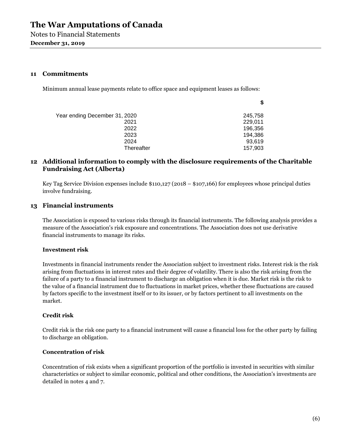### **11 Commitments**

Minimum annual lease payments relate to office space and equipment leases as follows:

| Year ending December 31, 2020 | 245,758 |
|-------------------------------|---------|
| 2021                          | 229.011 |
| 2022                          | 196,356 |
| 2023                          | 194.386 |
| 2024                          | 93,619  |
| Thereafter                    | 157,903 |

## **12 Additional information to comply with the disclosure requirements of the Charitable Fundraising Act (Alberta)**

Key Tag Service Division expenses include \$110,127 (2018 – \$107,166) for employees whose principal duties involve fundraising.

**\$** 

### **13 Financial instruments**

The Association is exposed to various risks through its financial instruments. The following analysis provides a measure of the Association's risk exposure and concentrations. The Association does not use derivative financial instruments to manage its risks.

### **Investment risk**

Investments in financial instruments render the Association subject to investment risks. Interest risk is the risk arising from fluctuations in interest rates and their degree of volatility. There is also the risk arising from the failure of a party to a financial instrument to discharge an obligation when it is due. Market risk is the risk to the value of a financial instrument due to fluctuations in market prices, whether these fluctuations are caused by factors specific to the investment itself or to its issuer, or by factors pertinent to all investments on the market.

### **Credit risk**

Credit risk is the risk one party to a financial instrument will cause a financial loss for the other party by failing to discharge an obligation.

### **Concentration of risk**

Concentration of risk exists when a significant proportion of the portfolio is invested in securities with similar characteristics or subject to similar economic, political and other conditions, the Association's investments are detailed in notes 4 and 7.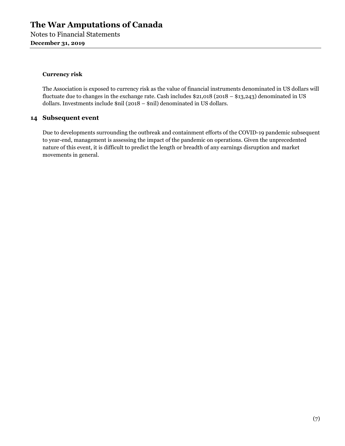**December 31, 2019** 

### **Currency risk**

The Association is exposed to currency risk as the value of financial instruments denominated in US dollars will fluctuate due to changes in the exchange rate. Cash includes \$21,018 (2018 – \$13,243) denominated in US dollars. Investments include \$nil (2018 – \$nil) denominated in US dollars.

### **14 Subsequent event**

Due to developments surrounding the outbreak and containment efforts of the COVID-19 pandemic subsequent to year-end, management is assessing the impact of the pandemic on operations. Given the unprecedented nature of this event, it is difficult to predict the length or breadth of any earnings disruption and market movements in general.